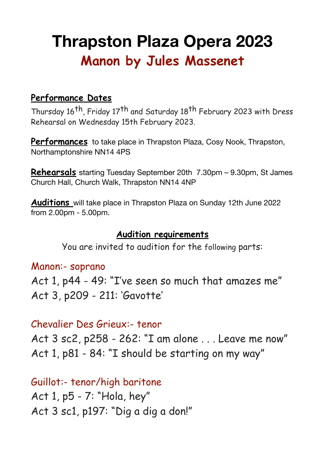# **Thrapston Plaza Opera 2023 Manon by Jules Massenet**

## **Performance Dates**

Thursday 16<sup>th</sup>, Friday 17<sup>th</sup> and Saturday 18<sup>th</sup> February 2023 with Dress Rehearsal on Wednesday 15th February 2023.

**Performances** to take place in Thrapston Plaza, Cosy Nook, Thrapston, Northamptonshire NN14 4PS

**Rehearsals** starting Tuesday September 20th 7.30pm – 9.30pm, St James Church Hall, Church Walk, Thrapston NN14 4NP

**Auditions** will take place in Thrapston Plaza on Sunday 12th June 2022 from 2.00pm - 5.00pm.

#### **Audition requirements**

You are invited to audition for the following parts:

#### Manon:- soprano

Act 1, p44 - 49: "I've seen so much that amazes me" Act 3, p209 - 211: 'Gavotte'

## Chevalier Des Grieux:- tenor

Act 3 sc2, p258 - 262: "I am alone . . . Leave me now" Act 1, p81 - 84: "I should be starting on my way"

Guillot:- tenor/high baritone Act 1, p5 - 7: "Hola, hey" Act 3 sc1, p197: "Dig a dig a don!"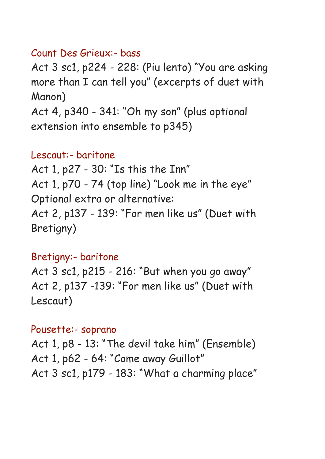## Count Des Grieux:- bass

Act 3 sc1, p224 - 228: (Piu lento) "You are asking more than I can tell you" (excerpts of duet with Manon)

Act 4, p340 - 341: "Oh my son" (plus optional extension into ensemble to p345)

# Lescaut:- baritone

Act 1, p27 - 30: "Is this the Inn" Act 1, p70 - 74 (top line) "Look me in the eye" Optional extra or alternative: Act 2, p137 - 139: "For men like us" (Duet with Bretigny)

## Bretigny:- baritone

Act 3 sc1, p215 - 216: "But when you go away" Act 2, p137 -139: "For men like us" (Duet with Lescaut)

## Pousette:- soprano

Act 1, p8 - 13: "The devil take him" (Ensemble) Act 1, p62 - 64: "Come away Guillot" Act 3 sc1, p179 - 183: "What a charming place"